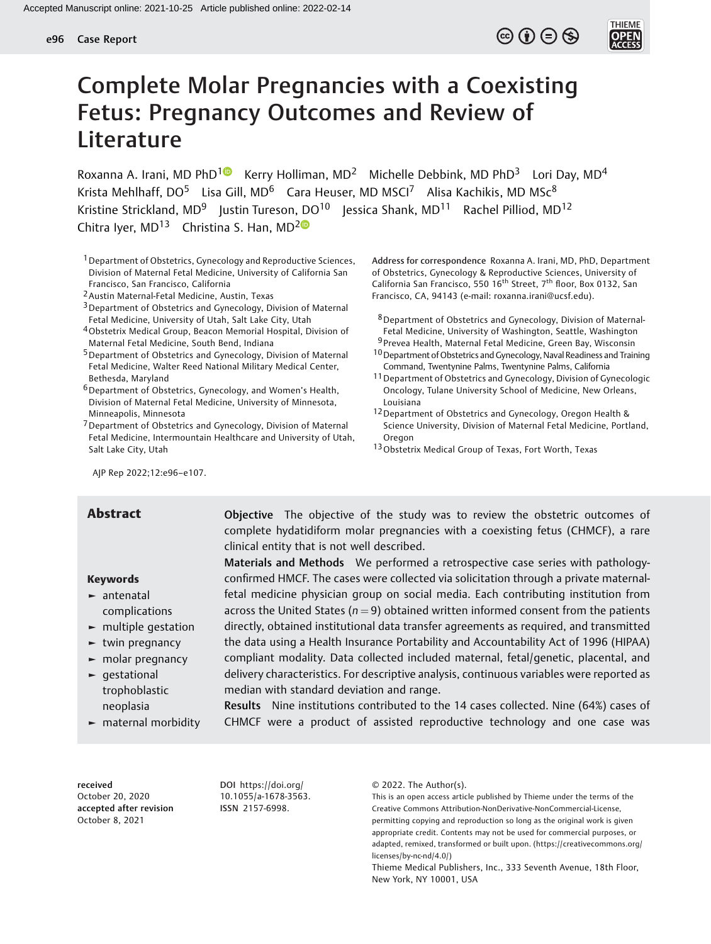# $\circledcirc$   $\oplus$   $\circledcirc$



# Complete Molar Pregnancies with a Coexisting Fetus: Pregnancy Outcomes and Review of Literature

Roxanna A. Irani, MD PhD<sup>1</sup> Kerry Holliman, MD<sup>2</sup> Michelle Debbink, MD PhD<sup>3</sup> Lori Day, MD<sup>4</sup> Krista Mehlhaff, DO<sup>5</sup> Lisa Gill, MD<sup>6</sup> Cara Heuser, MD MSCI<sup>7</sup> Alisa Kachikis, MD MSc<sup>8</sup> Kristine Strickland, MD<sup>9</sup> Justin Tureson, DO<sup>10</sup> Jessica Shank, MD<sup>11</sup> Rachel Pilliod, MD<sup>12</sup> Chitra Iyer,  $MD^{13}$  Christina S. Han,  $MD^{20}$ 

- <sup>1</sup> Department of Obstetrics, Gynecology and Reproductive Sciences, Division of Maternal Fetal Medicine, University of California San Francisco, San Francisco, California
- 2Austin Maternal-Fetal Medicine, Austin, Texas
- <sup>3</sup> Department of Obstetrics and Gynecology, Division of Maternal Fetal Medicine, University of Utah, Salt Lake City, Utah
- 4Obstetrix Medical Group, Beacon Memorial Hospital, Division of Maternal Fetal Medicine, South Bend, Indiana
- 5Department of Obstetrics and Gynecology, Division of Maternal Fetal Medicine, Walter Reed National Military Medical Center, Bethesda, Maryland
- 6Department of Obstetrics, Gynecology, and Women's Health, Division of Maternal Fetal Medicine, University of Minnesota, Minneapolis, Minnesota
- 7Department of Obstetrics and Gynecology, Division of Maternal Fetal Medicine, Intermountain Healthcare and University of Utah, Salt Lake City, Utah

AJP Rep 2022;12:e96–e107.

#### Keywords

- ► antenatal complications
- ► multiple gestation
- ► twin pregnancy
- ► molar pregnancy
- ► gestational trophoblastic neoplasia
- ► maternal morbidity

**Abstract Cobjective** The objective of the study was to review the obstetric outcomes of complete hydatidiform molar pregnancies with a coexisting fetus (CHMCF), a rare clinical entity that is not well described. Materials and Methods We performed a retrospective case series with pathology-

confirmed HMCF. The cases were collected via solicitation through a private maternalfetal medicine physician group on social media. Each contributing institution from across the United States ( $n = 9$ ) obtained written informed consent from the patients directly, obtained institutional data transfer agreements as required, and transmitted the data using a Health Insurance Portability and Accountability Act of 1996 (HIPAA) compliant modality. Data collected included maternal, fetal/genetic, placental, and delivery characteristics. For descriptive analysis, continuous variables were reported as median with standard deviation and range.

Results Nine institutions contributed to the 14 cases collected. Nine (64%) cases of CHMCF were a product of assisted reproductive technology and one case was

received October 20, 2020 accepted after revision October 8, 2021

DOI [https://doi.org/](https://doi.org/10.1055/a-1678-3563) [10.1055/a-1678-3563.](https://doi.org/10.1055/a-1678-3563) ISSN 2157-6998.

© 2022. The Author(s).

Address for correspondence Roxanna A. Irani, MD, PhD, Department of Obstetrics, Gynecology & Reproductive Sciences, University of California San Francisco, 550 16<sup>th</sup> Street, 7<sup>th</sup> floor, Box 0132, San Francisco, CA, 94143 (e-mail: [roxanna.irani@ucsf.edu](mailto:roxanna.irani@ucsf.edu)).

- 8Department of Obstetrics and Gynecology, Division of Maternal-Fetal Medicine, University of Washington, Seattle, Washington
- 9 Prevea Health, Maternal Fetal Medicine, Green Bay, Wisconsin
- $10$  Department of Obstetrics and Gynecology, Naval Readiness and Training Command, Twentynine Palms, Twentynine Palms, California
- 11Department of Obstetrics and Gynecology, Division of Gynecologic Oncology, Tulane University School of Medicine, New Orleans, Louisiana
- 12Department of Obstetrics and Gynecology, Oregon Health & Science University, Division of Maternal Fetal Medicine, Portland, Oregon
- 13Obstetrix Medical Group of Texas, Fort Worth, Texas

This is an open access article published by Thieme under the terms of the Creative Commons Attribution-NonDerivative-NonCommercial-License, permitting copying and reproduction so long as the original work is given appropriate credit. Contents may not be used for commercial purposes, or adapted, remixed, transformed or built upon. (https://creativecommons.org/ licenses/by-nc-nd/4.0/)

Thieme Medical Publishers, Inc., 333 Seventh Avenue, 18th Floor, New York, NY 10001, USA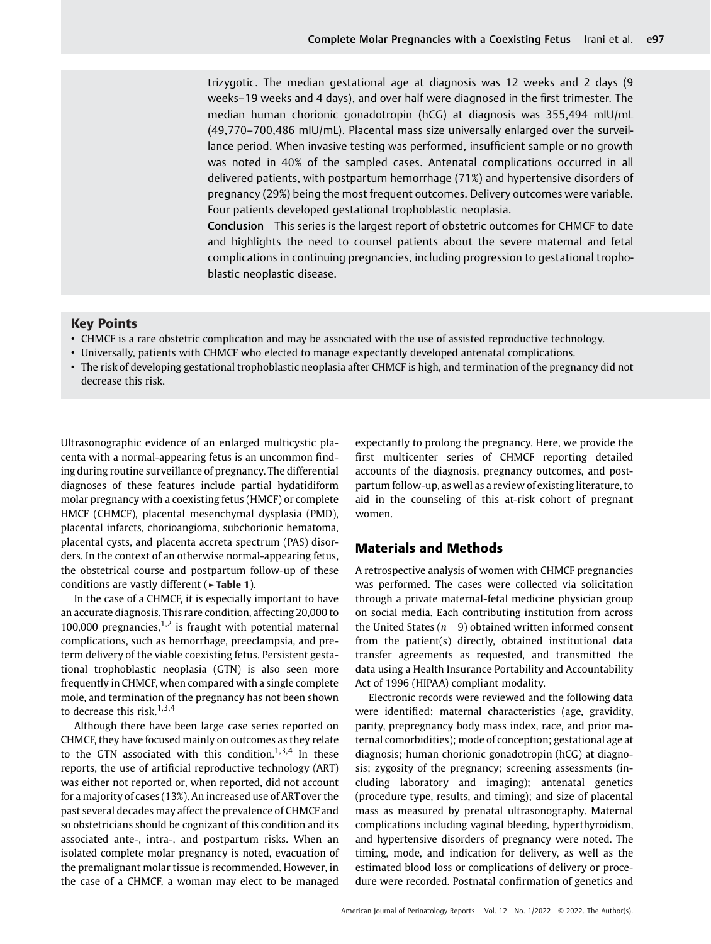trizygotic. The median gestational age at diagnosis was 12 weeks and 2 days (9 weeks–19 weeks and 4 days), and over half were diagnosed in the first trimester. The median human chorionic gonadotropin (hCG) at diagnosis was 355,494 mIU/mL (49,770–700,486 mIU/mL). Placental mass size universally enlarged over the surveillance period. When invasive testing was performed, insufficient sample or no growth was noted in 40% of the sampled cases. Antenatal complications occurred in all delivered patients, with postpartum hemorrhage (71%) and hypertensive disorders of pregnancy (29%) being the most frequent outcomes. Delivery outcomes were variable. Four patients developed gestational trophoblastic neoplasia.

Conclusion This series is the largest report of obstetric outcomes for CHMCF to date and highlights the need to counsel patients about the severe maternal and fetal complications in continuing pregnancies, including progression to gestational trophoblastic neoplastic disease.

#### Key Points

- CHMCF is a rare obstetric complication and may be associated with the use of assisted reproductive technology.
- Universally, patients with CHMCF who elected to manage expectantly developed antenatal complications.
- The risk of developing gestational trophoblastic neoplasia after CHMCF is high, and termination of the pregnancy did not decrease this risk.

Ultrasonographic evidence of an enlarged multicystic placenta with a normal-appearing fetus is an uncommon finding during routine surveillance of pregnancy. The differential diagnoses of these features include partial hydatidiform molar pregnancy with a coexisting fetus (HMCF) or complete HMCF (CHMCF), placental mesenchymal dysplasia (PMD), placental infarcts, chorioangioma, subchorionic hematoma, placental cysts, and placenta accreta spectrum (PAS) disorders. In the context of an otherwise normal-appearing fetus, the obstetrical course and postpartum follow-up of these conditions are vastly different (►Table 1).

In the case of a CHMCF, it is especially important to have an accurate diagnosis. This rare condition, affecting 20,000 to 100,000 pregnancies, $1,2$  is fraught with potential maternal complications, such as hemorrhage, preeclampsia, and preterm delivery of the viable coexisting fetus. Persistent gestational trophoblastic neoplasia (GTN) is also seen more frequently in CHMCF, when compared with a single complete mole, and termination of the pregnancy has not been shown to decrease this risk.<sup>1,3,4</sup>

Although there have been large case series reported on CHMCF, they have focused mainly on outcomes as they relate to the GTN associated with this condition.<sup>1,3,4</sup> In these reports, the use of artificial reproductive technology (ART) was either not reported or, when reported, did not account for a majority of cases (13%). An increased use of ART over the past several decades may affect the prevalence of CHMCF and so obstetricians should be cognizant of this condition and its associated ante-, intra-, and postpartum risks. When an isolated complete molar pregnancy is noted, evacuation of the premalignant molar tissue is recommended. However, in the case of a CHMCF, a woman may elect to be managed

expectantly to prolong the pregnancy. Here, we provide the first multicenter series of CHMCF reporting detailed accounts of the diagnosis, pregnancy outcomes, and postpartum follow-up, as well as a review of existing literature, to aid in the counseling of this at-risk cohort of pregnant women.

#### Materials and Methods

A retrospective analysis of women with CHMCF pregnancies was performed. The cases were collected via solicitation through a private maternal-fetal medicine physician group on social media. Each contributing institution from across the United States ( $n = 9$ ) obtained written informed consent from the patient(s) directly, obtained institutional data transfer agreements as requested, and transmitted the data using a Health Insurance Portability and Accountability Act of 1996 (HIPAA) compliant modality.

Electronic records were reviewed and the following data were identified: maternal characteristics (age, gravidity, parity, prepregnancy body mass index, race, and prior maternal comorbidities); mode of conception; gestational age at diagnosis; human chorionic gonadotropin (hCG) at diagnosis; zygosity of the pregnancy; screening assessments (including laboratory and imaging); antenatal genetics (procedure type, results, and timing); and size of placental mass as measured by prenatal ultrasonography. Maternal complications including vaginal bleeding, hyperthyroidism, and hypertensive disorders of pregnancy were noted. The timing, mode, and indication for delivery, as well as the estimated blood loss or complications of delivery or procedure were recorded. Postnatal confirmation of genetics and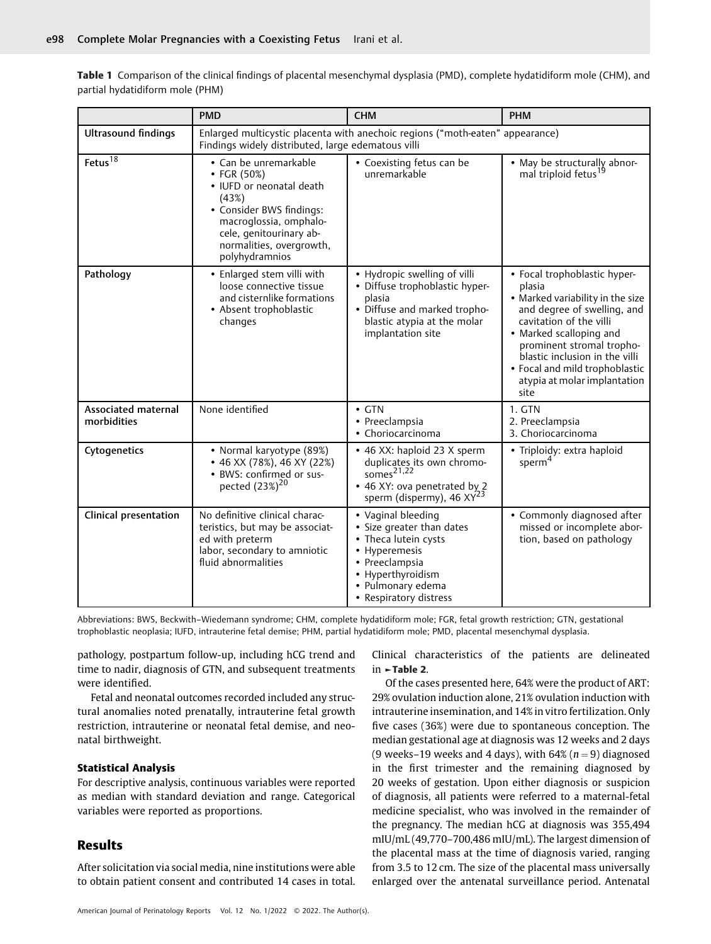Table 1 Comparison of the clinical findings of placental mesenchymal dysplasia (PMD), complete hydatidiform mole (CHM), and partial hydatidiform mole (PHM)

|                                           | <b>PMD</b>                                                                                                                                                                                                 | <b>CHM</b>                                                                                                                                                                     | <b>PHM</b>                                                                                                                                                                                                                                                                                               |
|-------------------------------------------|------------------------------------------------------------------------------------------------------------------------------------------------------------------------------------------------------------|--------------------------------------------------------------------------------------------------------------------------------------------------------------------------------|----------------------------------------------------------------------------------------------------------------------------------------------------------------------------------------------------------------------------------------------------------------------------------------------------------|
| <b>Ultrasound findings</b>                | Findings widely distributed, large edematous villi                                                                                                                                                         | Enlarged multicystic placenta with anechoic regions ("moth-eaten" appearance)                                                                                                  |                                                                                                                                                                                                                                                                                                          |
| Fetus $\overline{18}$                     | • Can be unremarkable<br>• FGR $(50%)$<br>• IUFD or neonatal death<br>(43%)<br>• Consider BWS findings:<br>macroglossia, omphalo-<br>cele, genitourinary ab-<br>normalities, overgrowth,<br>polyhydramnios | • Coexisting fetus can be<br>unremarkable                                                                                                                                      | • May be structurally abnor-<br>mal triploid fetus <sup>19</sup>                                                                                                                                                                                                                                         |
| Pathology                                 | • Enlarged stem villi with<br>loose connective tissue<br>and cisternlike formations<br>• Absent trophoblastic<br>changes                                                                                   | • Hydropic swelling of villi<br>· Diffuse trophoblastic hyper-<br>plasia<br>• Diffuse and marked tropho-<br>blastic atypia at the molar<br>implantation site                   | • Focal trophoblastic hyper-<br>plasia<br>• Marked variability in the size<br>and degree of swelling, and<br>cavitation of the villi<br>• Marked scalloping and<br>prominent stromal tropho-<br>blastic inclusion in the villi<br>• Focal and mild trophoblastic<br>atypia at molar implantation<br>site |
| <b>Associated maternal</b><br>morbidities | None identified                                                                                                                                                                                            | $\cdot$ GTN<br>• Preeclampsia<br>• Choriocarcinoma                                                                                                                             | 1. GTN<br>2. Preeclampsia<br>3. Choriocarcinoma                                                                                                                                                                                                                                                          |
| Cytogenetics                              | • Normal karyotype (89%)<br>$\bullet$ 46 XX (78%), 46 XY (22%)<br>• BWS: confirmed or sus-<br>pected (23%) <sup>20</sup>                                                                                   | • 46 XX: haploid 23 X sperm<br>duplicates its own chromo-<br>somes $21,22$<br>• 46 XY: ova penetrated by 2<br>sperm (dispermy), 46 XY <sup>23</sup>                            | • Triploidy: extra haploid<br>sperm <sup>4</sup>                                                                                                                                                                                                                                                         |
| <b>Clinical presentation</b>              | No definitive clinical charac-<br>teristics, but may be associat-<br>ed with preterm<br>labor, secondary to amniotic<br>fluid abnormalities                                                                | • Vaginal bleeding<br>• Size greater than dates<br>• Theca lutein cysts<br>• Hyperemesis<br>• Preeclampsia<br>• Hyperthyroidism<br>• Pulmonary edema<br>• Respiratory distress | • Commonly diagnosed after<br>missed or incomplete abor-<br>tion, based on pathology                                                                                                                                                                                                                     |

Abbreviations: BWS, Beckwith–Wiedemann syndrome; CHM, complete hydatidiform mole; FGR, fetal growth restriction; GTN, gestational trophoblastic neoplasia; IUFD, intrauterine fetal demise; PHM, partial hydatidiform mole; PMD, placental mesenchymal dysplasia.

pathology, postpartum follow-up, including hCG trend and time to nadir, diagnosis of GTN, and subsequent treatments were identified.

Fetal and neonatal outcomes recorded included any structural anomalies noted prenatally, intrauterine fetal growth restriction, intrauterine or neonatal fetal demise, and neonatal birthweight.

#### Statistical Analysis

For descriptive analysis, continuous variables were reported as median with standard deviation and range. Categorical variables were reported as proportions.

## Results

After solicitation via social media, nine institutions were able to obtain patient consent and contributed 14 cases in total.

Clinical characteristics of the patients are delineated in ►Table 2.

Of the cases presented here, 64% were the product of ART: 29% ovulation induction alone, 21% ovulation induction with intrauterine insemination, and 14% in vitro fertilization. Only five cases (36%) were due to spontaneous conception. The median gestational age at diagnosis was 12 weeks and 2 days (9 weeks–19 weeks and 4 days), with  $64\%$  ( $n = 9$ ) diagnosed in the first trimester and the remaining diagnosed by 20 weeks of gestation. Upon either diagnosis or suspicion of diagnosis, all patients were referred to a maternal-fetal medicine specialist, who was involved in the remainder of the pregnancy. The median hCG at diagnosis was 355,494 mIU/mL (49,770–700,486 mIU/mL). The largest dimension of the placental mass at the time of diagnosis varied, ranging from 3.5 to 12 cm. The size of the placental mass universally enlarged over the antenatal surveillance period. Antenatal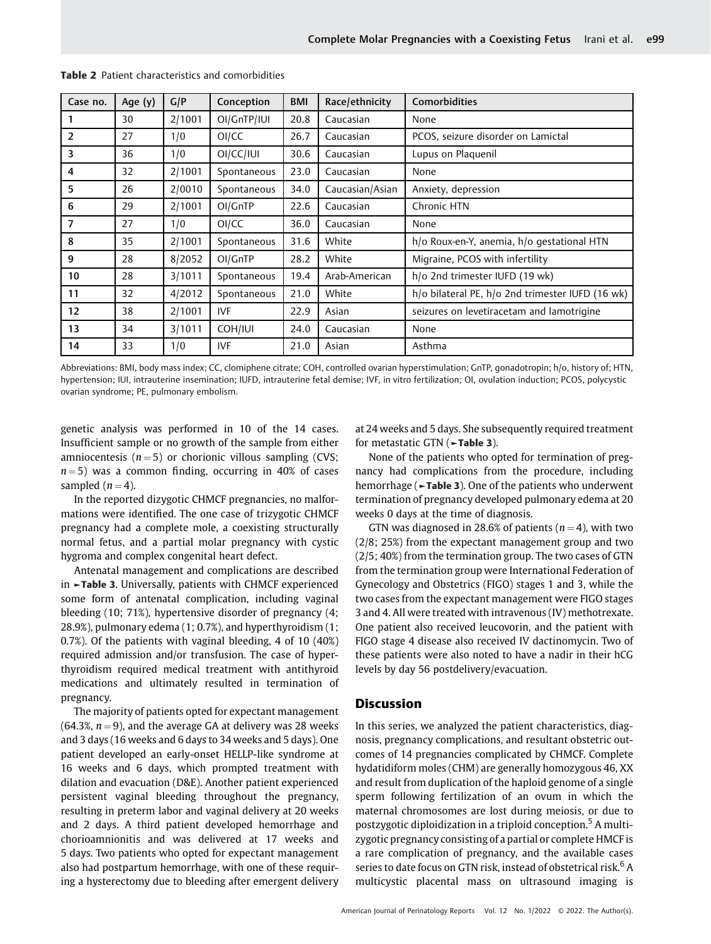| Case no. | Age (y) | G/P    | Conception  | <b>BMI</b> | Race/ethnicity  | Comorbidities                                    |
|----------|---------|--------|-------------|------------|-----------------|--------------------------------------------------|
|          | 30      | 2/1001 | OI/GnTP/IUI | 20.8       | Caucasian       | None                                             |
| 2        | 27      | 1/0    | OI/CC       | 26.7       | Caucasian       | PCOS, seizure disorder on Lamictal               |
| 3        | 36      | 1/0    | OI/CC/IUI   | 30.6       | Caucasian       | Lupus on Plaquenil                               |
| 4        | 32      | 2/1001 | Spontaneous | 23.0       | Caucasian       | None                                             |
| 5        | 26      | 2/0010 | Spontaneous | 34.0       | Caucasian/Asian | Anxiety, depression                              |
| 6        | 29      | 2/1001 | OI/GnTP     | 22.6       | Caucasian       | Chronic HTN                                      |
| 7        | 27      | 1/0    | OI/CC       | 36.0       | Caucasian       | None                                             |
| 8        | 35      | 2/1001 | Spontaneous | 31.6       | White           | h/o Roux-en-Y, anemia, h/o gestational HTN       |
| 9        | 28      | 8/2052 | OI/GnTP     | 28.2       | White           | Migraine, PCOS with infertility                  |
| 10       | 28      | 3/1011 | Spontaneous | 19.4       | Arab-American   | h/o 2nd trimester IUFD (19 wk)                   |
| 11       | 32      | 4/2012 | Spontaneous | 21.0       | White           | h/o bilateral PE, h/o 2nd trimester IUFD (16 wk) |
| 12       | 38      | 2/1001 | IVF         | 22.9       | Asian           | seizures on levetiracetam and lamotrigine        |
| 13       | 34      | 3/1011 | COH/IUI     | 24.0       | Caucasian       | None                                             |
| 14       | 33      | 1/0    | <b>IVF</b>  | 21.0       | Asian           | Asthma                                           |

Table 2 Patient characteristics and comorbidities

Abbreviations: BMI, body mass index; CC, clomiphene citrate; COH, controlled ovarian hyperstimulation; GnTP, gonadotropin; h/o, history of; HTN, hypertension; IUI, intrauterine insemination; IUFD, intrauterine fetal demise; IVF, in vitro fertilization; OI, ovulation induction; PCOS, polycystic ovarian syndrome; PE, pulmonary embolism.

genetic analysis was performed in 10 of the 14 cases. Insufficient sample or no growth of the sample from either amniocentesis ( $n = 5$ ) or chorionic villous sampling (CVS;  $n = 5$ ) was a common finding, occurring in 40% of cases sampled  $(n = 4)$ .

In the reported dizygotic CHMCF pregnancies, no malformations were identified. The one case of trizygotic CHMCF pregnancy had a complete mole, a coexisting structurally normal fetus, and a partial molar pregnancy with cystic hygroma and complex congenital heart defect.

Antenatal management and complications are described in ►Table 3. Universally, patients with CHMCF experienced some form of antenatal complication, including vaginal bleeding (10; 71%), hypertensive disorder of pregnancy (4; 28.9%), pulmonary edema (1; 0.7%), and hyperthyroidism (1; 0.7%). Of the patients with vaginal bleeding, 4 of 10 (40%) required admission and/or transfusion. The case of hyperthyroidism required medical treatment with antithyroid medications and ultimately resulted in termination of pregnancy.

The majority of patients opted for expectant management (64.3%,  $n = 9$ ), and the average GA at delivery was 28 weeks and 3 days (16 weeks and 6 days to 34 weeks and 5 days). One patient developed an early-onset HELLP-like syndrome at 16 weeks and 6 days, which prompted treatment with dilation and evacuation (D&E). Another patient experienced persistent vaginal bleeding throughout the pregnancy, resulting in preterm labor and vaginal delivery at 20 weeks and 2 days. A third patient developed hemorrhage and chorioamnionitis and was delivered at 17 weeks and 5 days. Two patients who opted for expectant management also had postpartum hemorrhage, with one of these requiring a hysterectomy due to bleeding after emergent delivery at 24 weeks and 5 days. She subsequently required treatment for metastatic GTN (►Table 3).

None of the patients who opted for termination of pregnancy had complications from the procedure, including hemorrhage (►Table 3). One of the patients who underwent termination of pregnancy developed pulmonary edema at 20 weeks 0 days at the time of diagnosis.

GTN was diagnosed in 28.6% of patients ( $n = 4$ ), with two (2/8; 25%) from the expectant management group and two (2/5; 40%) from the termination group. The two cases of GTN from the termination group were International Federation of Gynecology and Obstetrics (FIGO) stages 1 and 3, while the two cases from the expectant management were FIGO stages 3 and 4. All were treated with intravenous (IV) methotrexate. One patient also received leucovorin, and the patient with FIGO stage 4 disease also received IV dactinomycin. Two of these patients were also noted to have a nadir in their hCG levels by day 56 postdelivery/evacuation.

#### **Discussion**

In this series, we analyzed the patient characteristics, diagnosis, pregnancy complications, and resultant obstetric outcomes of 14 pregnancies complicated by CHMCF. Complete hydatidiform moles (CHM) are generally homozygous 46, XX and result from duplication of the haploid genome of a single sperm following fertilization of an ovum in which the maternal chromosomes are lost during meiosis, or due to postzygotic diploidization in a triploid conception.<sup>5</sup> A multizygotic pregnancy consisting of a partial or complete HMCF is a rare complication of pregnancy, and the available cases series to date focus on GTN risk, instead of obstetrical risk.<sup>6</sup> A multicystic placental mass on ultrasound imaging is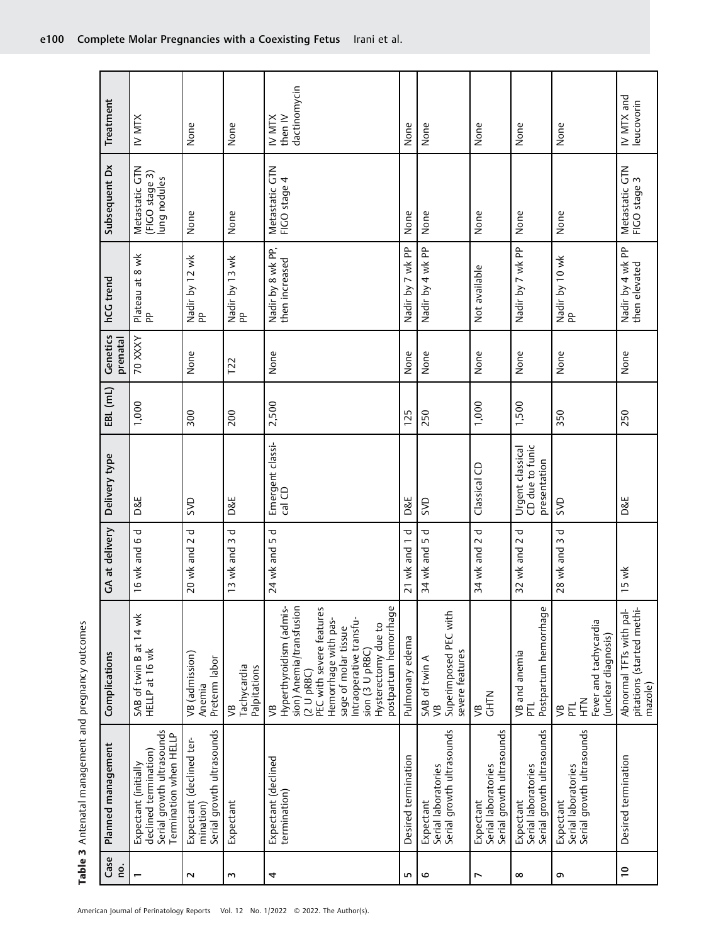| Case<br>ρ.               | Planned management                                                                                   | Complications                                                                                                                                                                                                                                        | GA at delivery                  | Delivery type                                       | EBL (mL) | Genetics<br>prenatal | hCG trend                           | Subsequent Dx                                   | Treatment                         |
|--------------------------|------------------------------------------------------------------------------------------------------|------------------------------------------------------------------------------------------------------------------------------------------------------------------------------------------------------------------------------------------------------|---------------------------------|-----------------------------------------------------|----------|----------------------|-------------------------------------|-------------------------------------------------|-----------------------------------|
|                          | Serial growth ultrasounds<br>Termination when HELLP<br>declined termination)<br>Expectant (initially | SAB of twin B at 14 wk<br>HELLP at 16 wk                                                                                                                                                                                                             | 16 wk and 6 d                   | <b>D&amp;E</b>                                      | 1,000    | 70 XXXY              | Plateau at 8 wk<br>PP               | Metastatic GTN<br>(FIGO stage 3)<br>ung nodules | IV MTX                            |
| $\sim$                   | Serial growth ultrasounds<br>Expectant (declined ter-<br>mination)                                   | VB (admission)<br>Preterm labor<br>Anemia                                                                                                                                                                                                            | ᠊ᢦ<br>20 wk and 2               | SVD                                                 | 300      | None                 | Nadir by 12 wk<br>PP                | None                                            | None                              |
| ς                        | Expectant                                                                                            | Tachycardia<br>Palpitations<br>УB                                                                                                                                                                                                                    | 13 wk and 3 d                   | D&E                                                 | 200      | $\overline{12}$      | Nadir by 13 wk<br>PP                | None                                            | None                              |
| 4                        | Expectant (declined<br>termination)                                                                  | sion) Anemia/transfusion<br>Hyperthyroidism (admis-<br>postpartum hemorrhage<br>PEC with severe features<br>Intraoperative transfu-<br>Hemorrhage with pas-<br>Hysterectomy due to<br>sage of molar tissue<br>sion (3 U pRBC)<br>$(2 U)$ pRBC)<br>уB | 24 wk and 5 d                   | Emergent classi-<br>cal CD                          | 2,500    | None                 | Nadir by 8 wk PP,<br>then increased | Metastatic GTN<br>FIGO stage 4                  | dactinomycin<br>IV MTX<br>then IV |
| m                        | Desired termination                                                                                  | Pulmonary edema                                                                                                                                                                                                                                      | ᠊ᢦ<br>21 wk and 1               | <b>D&amp;E</b>                                      | 125      | None                 | Nadir by 7 wk PP                    | None                                            | None                              |
| م                        | Serial growth ultrasounds<br>Expectant<br>Serial laboratories                                        | Superimposed PEC with<br>severe features<br>SAB of twin A<br>$\sqrt{B}$                                                                                                                                                                              | 34 wk and 5 d                   | SVD                                                 | 250      | None                 | Nadir by 4 wk PP                    | None                                            | None                              |
| L                        | Serial growth ultrasounds<br>Expectant<br>Serial laboratories                                        | <b>CHTN</b><br>УB                                                                                                                                                                                                                                    | ᠊ᠣ<br>$\sim$<br>34 wk and       | Classical CD                                        | 1,000    | None                 | Not available                       | None                                            | None                              |
| $\infty$                 | Serial growth ultrasounds<br>Serial laboratories<br>Expectant                                        | Postpartum hemorrhage<br>VB and anemia<br>己                                                                                                                                                                                                          | $\mathbf \sigma$<br>32 wk and 2 | CD due to funic<br>Urgent classical<br>presentation | 1,500    | None                 | Nadir by 7 wk PP                    | None                                            | None                              |
| G                        | Serial growth ultrasounds<br>Serial laboratories<br>Expectant                                        | Fever and tachycardia<br>(unclear diagnosis)<br>MH<br>王<br>己<br>$\mathfrak{S}$                                                                                                                                                                       | 28 wk and 3 d                   | gys                                                 | 350      | None                 | Nadir by 10 wk<br>PP                | None                                            | None                              |
| $\overline{\phantom{0}}$ | Desired termination                                                                                  | pitations (started methi-<br>Abnormal TFTs with pal-<br>mazole)                                                                                                                                                                                      | 15 wk                           | D&E                                                 | 250      | None                 | Nadir by 4 wk PP<br>then elevated   | Metastatic GTN<br>FIGO stage 3                  | IV MTX and<br>leucovorin          |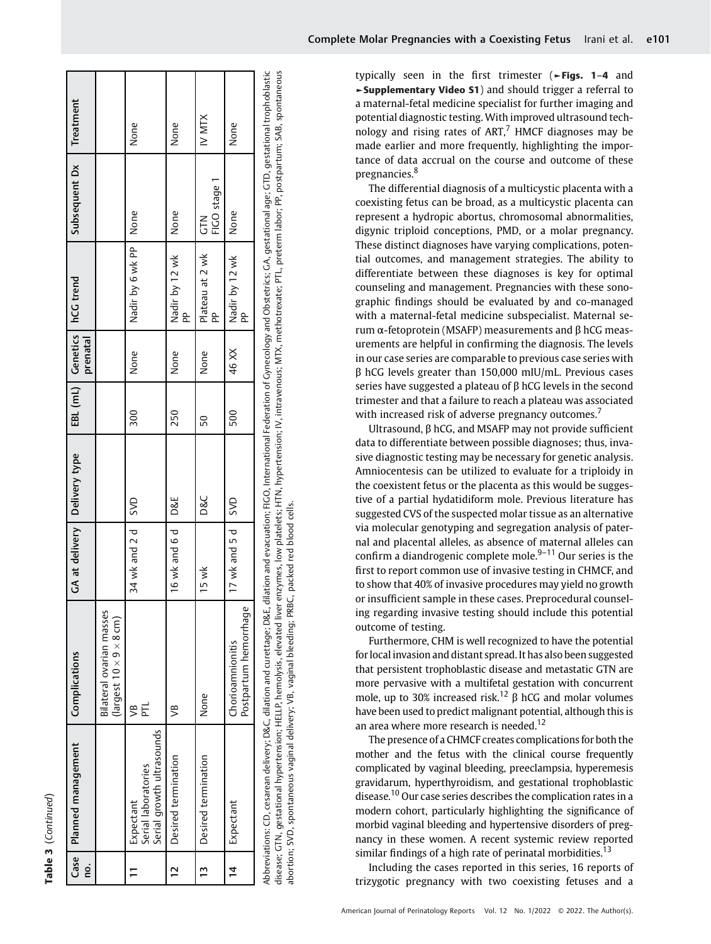| r |
|---|
|   |
|   |
|   |
|   |
|   |
|   |
|   |
|   |

|                | Case   Planned management                                                                                                                                                                                                      | Complications                                                   | GA at delivery   Delivery type |     |     |          | EBL (mL)   Genetics   hCG trend | Subsequent Dx          | Treatment |
|----------------|--------------------------------------------------------------------------------------------------------------------------------------------------------------------------------------------------------------------------------|-----------------------------------------------------------------|--------------------------------|-----|-----|----------|---------------------------------|------------------------|-----------|
| <u>c</u>       |                                                                                                                                                                                                                                |                                                                 |                                |     |     | prenatal |                                 |                        |           |
|                |                                                                                                                                                                                                                                | Bilateral ovarian masses<br>$(largest 10 \times 9 \times 8$ cm) |                                |     |     |          |                                 |                        |           |
|                | Serial growth ultrasounds<br>Serial laboratories<br>Expectant                                                                                                                                                                  | ᢟ                                                               | 34 wk and 2 d   SVD            |     | 300 | None     | Nadir by 6 wk PP                | None                   | None      |
| $\overline{C}$ | Desired termination                                                                                                                                                                                                            | $\approx$                                                       | 16 wk and 6 d   D&E            |     | 250 | None     | Nadir by 12 wk<br>å             | None                   | None      |
| $\mathbf{u}$   | Desired termination                                                                                                                                                                                                            | None                                                            | 15 wk                          | D&C | 50  | None     | Plateau at 2 wk<br>å            | FIGO stage 1<br>א<br>5 | IV MTX    |
| $\frac{4}{1}$  | Expectant                                                                                                                                                                                                                      | Postpartum hemorrhage<br>Chorioamnionitis                       | 17 wk and 5 d SVD              |     | 500 | 46 XX    | Nadir by 12 wk<br>å             | None                   | None      |
|                | Asheli and allama dinastion on and cure than 1985. Allama 1986 and 2000 and 2000 and 2000 and 2000 and 2000 and 2000 and 2000 and 2000 and 2000 and than 1997. The state of the back of the state of the contract of the contr |                                                                 |                                |     |     |          |                                 |                        |           |

disease; GTN, gestational hypertension; HELLP, hemolysis, elevated liver enzymes, low platelets; HTN, hypertension; IV, intravenous; MTX, methotrexate; PTL, preterm labor; PP, postpartum; SAB, spontaneous Abbreviations: CD, cesarean delivery; D&C, dilation and curettage; D&E, dilation and evacuation; FIGO, International Federation of Gynecology and Obstetrics; GA, gestational age; GTD, gestational trophoblastic Abbreviations: CD, cesarean delivery; D&C, dilation and curettage; D&E, dilation and evacuation; FiGO, International Federation of Gynecology and Obstetrics; GA, gestational age; GTD, gestational trophoblastic disease; GTN, gestational hypertension; HELLP, hemolysis, elevated liver enzymes, low platelets; HTN, hypertension; IV, intravenous; MTX, methotrexate; PTL, preterm labor; PP, postpartum; SAB, spontaneous abortion; SVD, spontaneous vaginal delivery; VB, vaginal bleeding; PRBC, packed red blood cells. abortion; SVD, spontaneous vaginal delivery; VB, vaginal bleeding; PRBC, packed red blood cells. typically seen in the first trimester (►Figs. 1–4 and ►Supplementary Video S1) and should trigger a referral to a maternal-fetal medicine specialist for further imaging and potential diagnostic testing. With improved ultrasound technology and rising rates of  $ART^7$  HMCF diagnoses may be made earlier and more frequently, highlighting the importance of data accrual on the course and outcome of these pregnancies.<sup>8</sup>

The differential diagnosis of a multicystic placenta with a coexisting fetus can be broad, as a multicystic placenta can represent a hydropic abortus, chromosomal abnormalities, digynic triploid conceptions, PMD, or a molar pregnancy. These distinct diagnoses have varying complications, potential outcomes, and management strategies. The ability to differentiate between these diagnoses is key for optimal counseling and management. Pregnancies with these sonographic findings should be evaluated by and co-managed with a maternal-fetal medicine subspecialist. Maternal serum α-fetoprotein (MSAFP) measurements and β hCG measurements are helpful in confirming the diagnosis. The levels in our case series are comparable to previous case series with β hCG levels greater than 150,000 mIU/mL. Previous cases series have suggested a plateau of  $\beta$  hCG levels in the second trimester and that a failure to reach a plateau was associated with increased risk of adverse pregnancy outcomes.<sup>7</sup>

Ultrasound, β hCG, and MSAFP may not provide sufficient data to differentiate between possible diagnoses; thus, invasive diagnostic testing may be necessary for genetic analysis. Amniocentesis can be utilized to evaluate for a triploidy in the coexistent fetus or the placenta as this would be suggestive of a partial hydatidiform mole. Previous literature has suggested CVS of the suspected molar tissue as an alternative via molecular genotyping and segregation analysis of paternal and placental alleles, as absence of maternal alleles can confirm a diandrogenic complete mole. $9-11$  Our series is the first to report common use of invasive testing in CHMCF, and to show that 40% of invasive procedures may yield no growth or insufficient sample in these cases. Preprocedural counseling regarding invasive testing should include this potential outcome of testing.

Furthermore, CHM is well recognized to have the potential for local invasion and distant spread. It has also been suggested that persistent trophoblastic disease and metastatic GTN are more pervasive with a multifetal gestation with concurrent mole, up to 30% increased risk.<sup>12</sup> β hCG and molar volumes have been used to predict malignant potential, although this is an area where more research is needed.<sup>12</sup>

The presence of a CHMCF creates complications for both the mother and the fetus with the clinical course frequently complicated by vaginal bleeding, preeclampsia, hyperemesis gravidarum, hyperthyroidism, and gestational trophoblastic disease.<sup>10</sup> Our case series describes the complication rates in a modern cohort, particularly highlighting the significance of morbid vaginal bleeding and hypertensive disorders of pregnancy in these women. A recent systemic review reported similar findings of a high rate of perinatal morbidities.<sup>13</sup>

Including the cases reported in this series, 16 reports of trizygotic pregnancy with two coexisting fetuses and a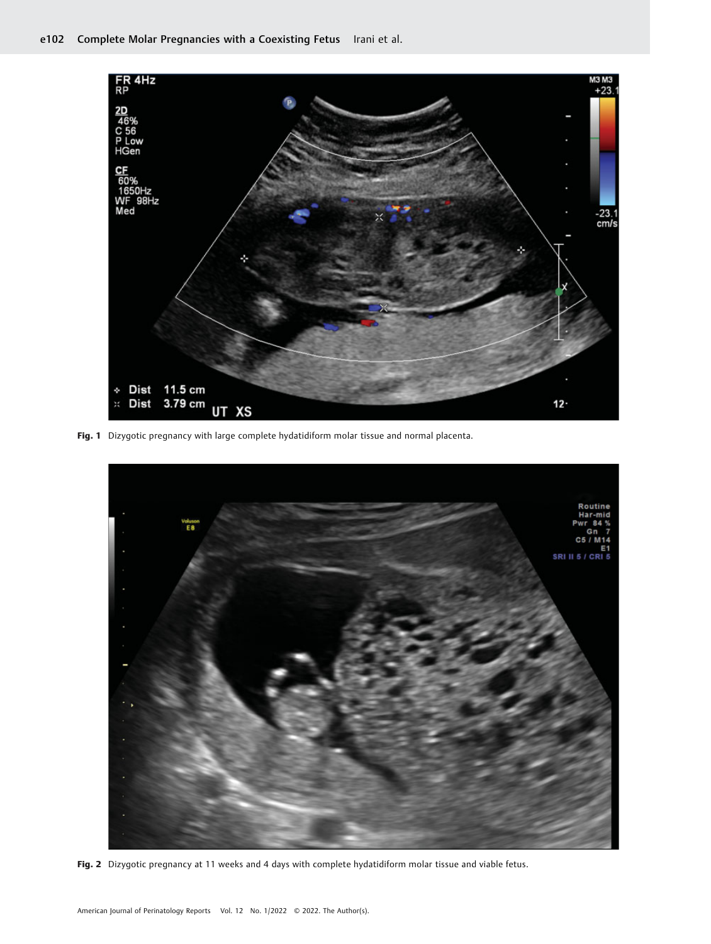

Fig. 1 Dizygotic pregnancy with large complete hydatidiform molar tissue and normal placenta.



Fig. 2 Dizygotic pregnancy at 11 weeks and 4 days with complete hydatidiform molar tissue and viable fetus.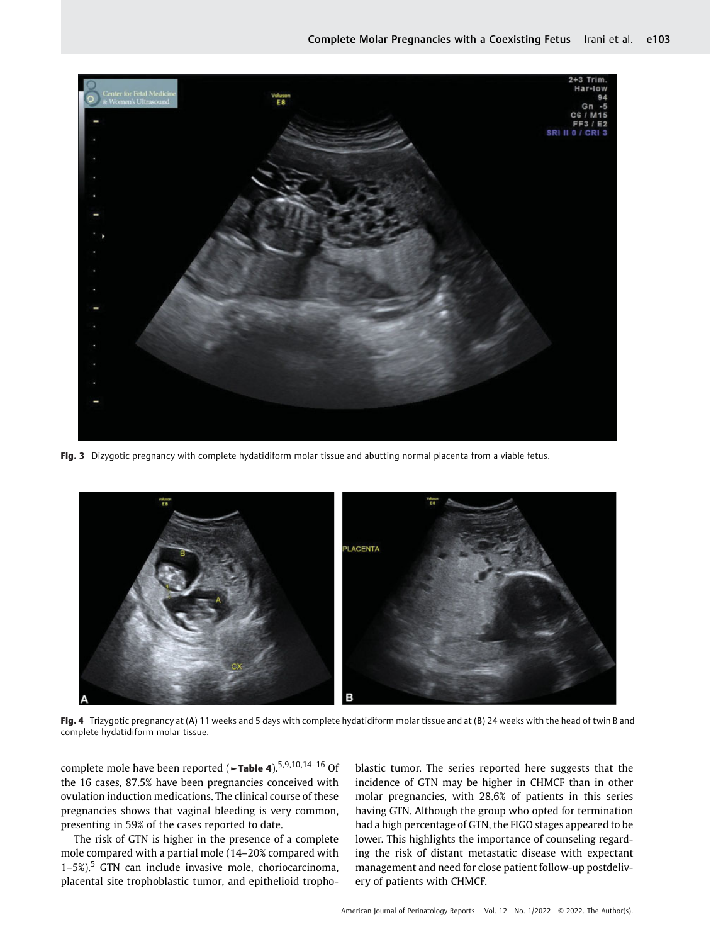

Fig. 3 Dizygotic pregnancy with complete hydatidiform molar tissue and abutting normal placenta from a viable fetus.



Fig. 4 Trizygotic pregnancy at (A) 11 weeks and 5 days with complete hydatidiform molar tissue and at (B) 24 weeks with the head of twin B and complete hydatidiform molar tissue.

complete mole have been reported (►Table 4).5,9,10,14–<sup>16</sup> Of the 16 cases, 87.5% have been pregnancies conceived with ovulation induction medications. The clinical course of these pregnancies shows that vaginal bleeding is very common, presenting in 59% of the cases reported to date.

The risk of GTN is higher in the presence of a complete mole compared with a partial mole (14–20% compared with  $1-5$ %).<sup>5</sup> GTN can include invasive mole, choriocarcinoma, placental site trophoblastic tumor, and epithelioid trophoblastic tumor. The series reported here suggests that the incidence of GTN may be higher in CHMCF than in other molar pregnancies, with 28.6% of patients in this series having GTN. Although the group who opted for termination had a high percentage of GTN, the FIGO stages appeared to be lower. This highlights the importance of counseling regarding the risk of distant metastatic disease with expectant management and need for close patient follow-up postdelivery of patients with CHMCF.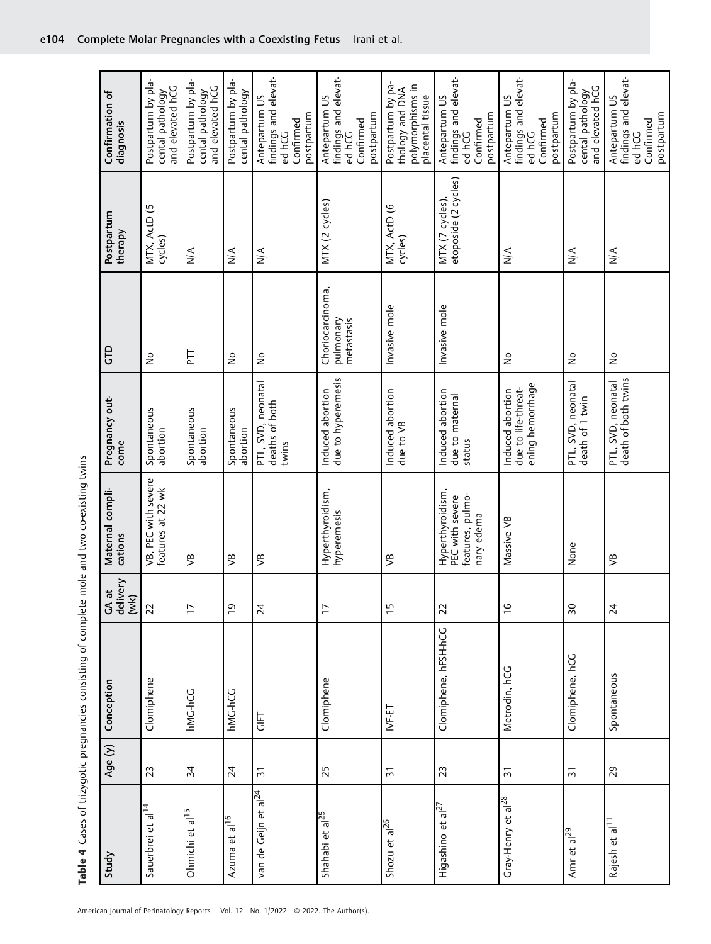| <b>. The first first first contract of the state of the contract contract of the contract of the first first first first case of the contract of the contract of the contract of the contract of the contract of the contract of</b> |
|--------------------------------------------------------------------------------------------------------------------------------------------------------------------------------------------------------------------------------------|
| )<br>)<br>)<br>)<br>)                                                                                                                                                                                                                |
|                                                                                                                                                                                                                                      |
|                                                                                                                                                                                                                                      |
|                                                                                                                                                                                                                                      |
|                                                                                                                                                                                                                                      |
| j<br>1                                                                                                                                                                                                                               |
| )<br>5<br>)<br>)<br>)                                                                                                                                                                                                                |
|                                                                                                                                                                                                                                      |
| .<br>.                                                                                                                                                                                                                               |
|                                                                                                                                                                                                                                      |

| Study                            | Age $(y)$       | Conception           | GA at<br>delivery<br>(wk) | Maternal compli-<br>cations                                           | Pregnancy out-<br>come                                      | <b>GTD</b>                                  | Postpartum<br>therapy                   | Confirmation of<br>diagnosis                                                 |
|----------------------------------|-----------------|----------------------|---------------------------|-----------------------------------------------------------------------|-------------------------------------------------------------|---------------------------------------------|-----------------------------------------|------------------------------------------------------------------------------|
| Sauerbrei et al <sup>14</sup>    | 23              | Clomiphene           | 22                        | VB, PEC with severe<br>features at 22 wk                              | Spontaneous<br>abortion                                     | $\frac{1}{2}$                               | MTX, ActD (5<br>cycles)                 | Postpartum by pla-<br>and elevated hCG<br>cental pathology                   |
| Ohmichi et al <sup>15</sup>      | 34              | hMG-hCG              | $\overline{1}$            | уB                                                                    | Spontaneous<br>abortion                                     | 토                                           | $\frac{4}{\sqrt{2}}$                    | Postpartum by pla-<br>and elevated hCG<br>cental pathology                   |
| Azuma et al <sup>16</sup>        | 24              | hMG-hCG              | $\overline{c}$            | $\mathfrak{S}$                                                        | Spontaneous<br>abortion                                     | $\frac{1}{2}$                               | $\frac{1}{N}$                           | Postpartum by pla-<br>cental pathology                                       |
| van de Geijn et al <sup>24</sup> | $\overline{5}$  | <b>LET</b>           | 24                        | $\mathfrak{S}$                                                        | PTL, SVD, neonatal<br>deaths of both<br>twins               | $\frac{1}{2}$                               | $\stackrel{\leq}{\geq}$                 | findings and elevat-<br>Antepartum US<br>postpartum<br>Confirmed<br>ed hCG   |
| Shahabi et al <sup>25</sup>      | 25              | Clomiphene           | $\overline{1}$            | Hyperthyroidism,<br>hyperemesis                                       | due to hyperemesis<br>Induced abortion                      | Choriocarcinoma,<br>pulmonary<br>metastasis | MTX (2 cycles)                          | findings and elevat-<br>Antepartum US<br>postpartum<br>Confirmed<br>ed hCG   |
| Shozu et al $^{26}$              | $\overline{5}$  | IVF-ET               | ij                        | ᢟ                                                                     | Induced abortion<br>due to VB                               | Invasive mole                               | MTX, ActD (6<br>cycles)                 | Postpartum by pa-<br>polymorphisms in<br>thology and DNA<br>placental tissue |
| Higashino et al $^{27}$          | 23              | Clomiphene, hFSH-hCG | 22                        | Hyperthyroidism,<br>features, pulmo-<br>PEC with severe<br>nary edema | Induced abortion<br>due to maternal<br>status               | Invasive mole                               | etoposide (2 cycles)<br>MTX (7 cycles), | findings and elevat-<br>Antepartum US<br>postpartum<br>Confirmed<br>ed hCG   |
| Gray-Henry et al <sup>28</sup>   | $\overline{5}$  | Metrodin, hCG        | $\frac{6}{1}$             | Massive VB                                                            | ening hemorrhage<br>due to life-threat-<br>Induced abortion | $\frac{1}{2}$                               | $\frac{1}{2}$                           | findings and elevat-<br>Antepartum US<br>postpartum<br>Confirmed<br>ed hCG   |
| Amr et al <sup>29</sup>          | $\overline{31}$ | Clomiphene, hCG      | 50                        | None                                                                  | PTL, SVD, neonatal<br>death of 1 twin                       | $\frac{1}{2}$                               | $\frac{4}{\sqrt{2}}$                    | Postpartum by pla-<br>and elevated hCG<br>cental pathology                   |
| Rajesh et al <sup>11</sup>       | 29              | Spontaneous          | 24                        | $\mathfrak{S}$                                                        | death of both twins<br>PTL, SVD, neonatal                   | $\stackrel{\circ}{\simeq}$                  | $\frac{4}{\sqrt{2}}$                    | findings and elevat-<br>Antepartum US<br>postpartum<br>Confirmed<br>ed hCG   |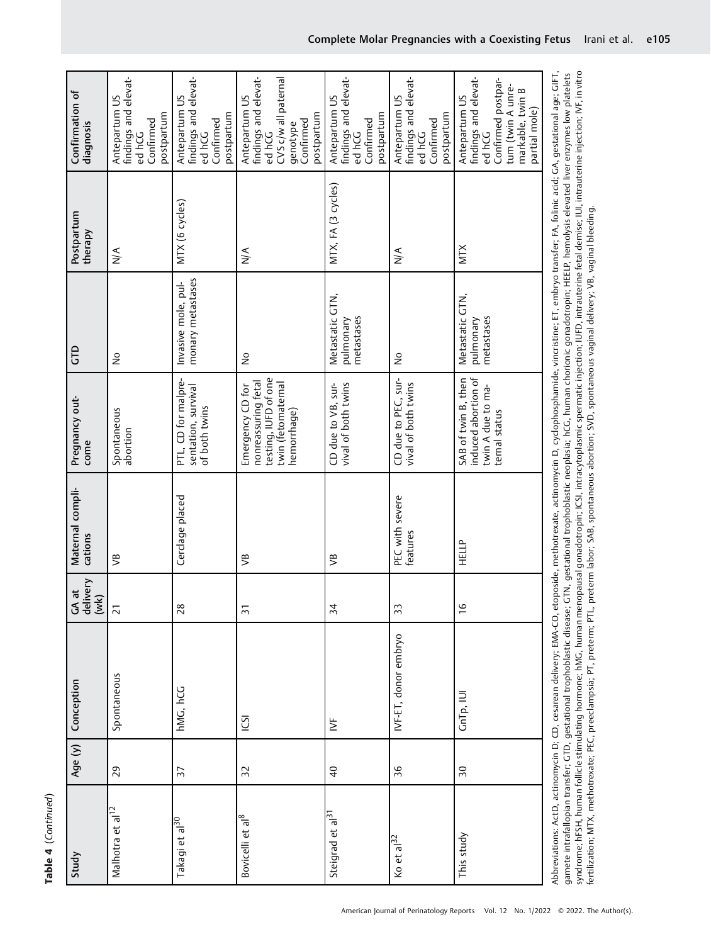| ŕ<br>€ |
|--------|
| Ė      |

| Study                        | Age $(y)$       | Conception                                                                                                                                                                                                                                                                                                                                                                                                                                                                                                                                                                                                                                                                                                                                                                                                                | GA at<br>delivery<br>(wk) | Maternal compli-<br>cations | Pregnancy out-<br>come                                                                               | <b>GD</b>                                  | Postpartum<br>therapy | Confirmation of<br>diagnosis                                                                                                    |
|------------------------------|-----------------|---------------------------------------------------------------------------------------------------------------------------------------------------------------------------------------------------------------------------------------------------------------------------------------------------------------------------------------------------------------------------------------------------------------------------------------------------------------------------------------------------------------------------------------------------------------------------------------------------------------------------------------------------------------------------------------------------------------------------------------------------------------------------------------------------------------------------|---------------------------|-----------------------------|------------------------------------------------------------------------------------------------------|--------------------------------------------|-----------------------|---------------------------------------------------------------------------------------------------------------------------------|
| Malhotra et al <sup>12</sup> | 29              | Spontaneous                                                                                                                                                                                                                                                                                                                                                                                                                                                                                                                                                                                                                                                                                                                                                                                                               | $\overline{2}$            | $\mathfrak{S}$              | Spontaneous<br>abortion                                                                              | $\frac{1}{2}$                              | $\frac{1}{N}$         | findings and elevat-<br>Antepartum US<br>postpartum<br>Confirmed<br>ed hCG                                                      |
| Takagi et al <sup>30</sup>   | 57              | hMG, hCG                                                                                                                                                                                                                                                                                                                                                                                                                                                                                                                                                                                                                                                                                                                                                                                                                  | 28                        | Cerclage placed             | PTL, CD for malpre-<br>sentation, survival<br>of both twins                                          | monary metastases<br>Invasive mole, pul-   | MTX (6 cycles)        | findings and elevat-<br>Antepartum US<br>postpartum<br>Confirmed<br>ed hCG                                                      |
| Bovicelli et al <sup>8</sup> | 32              | <b>ICSI</b>                                                                                                                                                                                                                                                                                                                                                                                                                                                                                                                                                                                                                                                                                                                                                                                                               | $\overline{5}$            | $\mathfrak{S}$              | testing, IUFD of one<br>nonreassuring fetal<br>twin (fetomaternal<br>Emergency CD for<br>hemorrhage) | $\frac{1}{2}$                              | $\frac{4}{\sqrt{2}}$  | findings and elevat-<br>CVS c/w all paternal<br>Antepartum US<br>postpartum<br>Confirmed<br>genotype<br>ed hCG                  |
| Steigrad et al <sup>3</sup>  | $\overline{4}$  | $\geq$                                                                                                                                                                                                                                                                                                                                                                                                                                                                                                                                                                                                                                                                                                                                                                                                                    | 34                        | ᢟ                           | CD due to VB, sur-<br>vival of both twins                                                            | Metastatic GTN,<br>metastases<br>pulmonary | MTX, FA (3 cycles)    | findings and elevat-<br>Antepartum US<br>postpartum<br>Confirmed<br>ed hCG                                                      |
| Ko et al $^{32}$             | 36              | IVF-ET, donor embryo                                                                                                                                                                                                                                                                                                                                                                                                                                                                                                                                                                                                                                                                                                                                                                                                      | 33                        | PEC with severe<br>features | CD due to PEC, sur-<br>vival of both twins                                                           | å                                          | $\frac{1}{2}$         | findings and elevat-<br>Antepartum US<br>postpartum<br>Confirmed<br>ed hCG                                                      |
| This study                   | $\overline{50}$ | GnTp, IUI                                                                                                                                                                                                                                                                                                                                                                                                                                                                                                                                                                                                                                                                                                                                                                                                                 | $\frac{6}{1}$             | HELP                        | SAB of twin B, then<br>induced abortion of<br>twin A due to ma-<br>temal status                      | Metastatic GTN,<br>metastases<br>pulmonary | XIM                   | findings and elevat-<br>Confirmed postpar-<br>tum (twin A unre-<br>markable, twin B<br>Antepartum US<br>partial mole)<br>ed hCG |
|                              |                 | syndrome; hFSH, human follicle stimulating hormone; hMG, human menopausal gonadotropin; ICSI, intracytoplasmic spermatic injection; IUFD, intrauterine fetal demise; IUI, intrauterine injection; IVF, in vitro<br>Abbreviations: ActD, actinomycin D; CD, cesarean delivery; EMA-CO, etoposide, methotrexate, actinomycin D, cyclophosphamide, vincristine; ET, embryo transfer; FA, folinic acid; GA, gestational age; GIFT,<br>gamete intrafallopian transfer; GTD, gestational trophoblastic disease; GTN, gestational trophoblastic neoplasia; hCG, human chorionic gonadotropin; HEELP, hemolysis elevated liver enzymes low platelets<br>fertilization; MTX, methotrexate; PEC, preeclampsia; PT, preterm; PTL, preterm labor; SAB, spontaneous abortion; SVD, spontaneous vaginal delivery; VB, vaginal bleeding. |                           |                             |                                                                                                      |                                            |                       |                                                                                                                                 |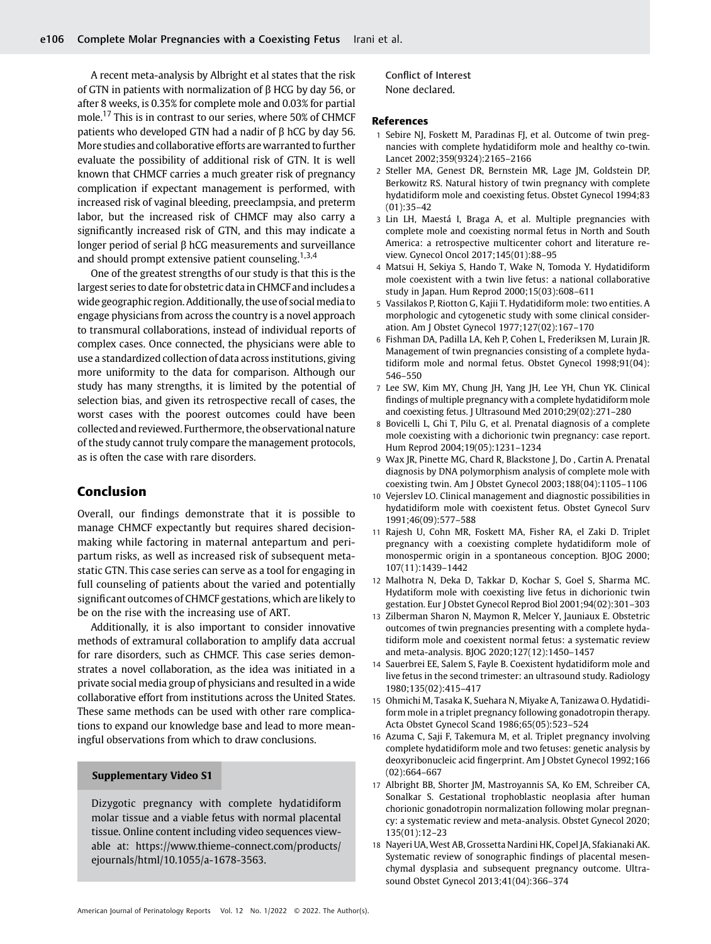A recent meta-analysis by Albright et al states that the risk of GTN in patients with normalization of β HCG by day 56, or after 8 weeks, is 0.35% for complete mole and 0.03% for partial mole.<sup>17</sup> This is in contrast to our series, where 50% of CHMCF patients who developed GTN had a nadir of β hCG by day 56. More studies and collaborative efforts are warranted to further evaluate the possibility of additional risk of GTN. It is well known that CHMCF carries a much greater risk of pregnancy complication if expectant management is performed, with increased risk of vaginal bleeding, preeclampsia, and preterm labor, but the increased risk of CHMCF may also carry a significantly increased risk of GTN, and this may indicate a longer period of serial β hCG measurements and surveillance and should prompt extensive patient counseling.<sup>1,3,4</sup>

One of the greatest strengths of our study is that this is the largest series to date for obstetric data in CHMCF and includes a wide geographic region. Additionally, the use of social media to engage physicians from across the country is a novel approach to transmural collaborations, instead of individual reports of complex cases. Once connected, the physicians were able to use a standardized collection of data across institutions, giving more uniformity to the data for comparison. Although our study has many strengths, it is limited by the potential of selection bias, and given its retrospective recall of cases, the worst cases with the poorest outcomes could have been collected and reviewed. Furthermore, the observational nature of the study cannot truly compare the management protocols, as is often the case with rare disorders.

## Conclusion

Overall, our findings demonstrate that it is possible to manage CHMCF expectantly but requires shared decisionmaking while factoring in maternal antepartum and peripartum risks, as well as increased risk of subsequent metastatic GTN. This case series can serve as a tool for engaging in full counseling of patients about the varied and potentially significant outcomes of CHMCF gestations, which are likely to be on the rise with the increasing use of ART.

Additionally, it is also important to consider innovative methods of extramural collaboration to amplify data accrual for rare disorders, such as CHMCF. This case series demonstrates a novel collaboration, as the idea was initiated in a private social media group of physicians and resulted in a wide collaborative effort from institutions across the United States. These same methods can be used with other rare complications to expand our knowledge base and lead to more meaningful observations from which to draw conclusions.

# Supplementary Video S1 Supplementary Video S1

Dizygotic pregnancy with complete hydatidiform molar tissue and a viable fetus with normal placental tissue. Online content including video sequences viewable at: [https://www.thieme-connect.com/products/](https://www.thieme-connect.com/products/ejournals/html/10.1055/a-1678-3563) [ejournals/html/10.1055/a-1678-3563.](https://www.thieme-connect.com/products/ejournals/html/10.1055/a-1678-3563)

Conflict of Interest None declared.

#### References

- 1 Sebire NJ, Foskett M, Paradinas FJ, et al. Outcome of twin pregnancies with complete hydatidiform mole and healthy co-twin. Lancet 2002;359(9324):2165–2166
- 2 Steller MA, Genest DR, Bernstein MR, Lage JM, Goldstein DP, Berkowitz RS. Natural history of twin pregnancy with complete hydatidiform mole and coexisting fetus. Obstet Gynecol 1994;83 (01):35–42
- 3 Lin LH, Maestá I, Braga A, et al. Multiple pregnancies with complete mole and coexisting normal fetus in North and South America: a retrospective multicenter cohort and literature review. Gynecol Oncol 2017;145(01):88–95
- 4 Matsui H, Sekiya S, Hando T, Wake N, Tomoda Y. Hydatidiform mole coexistent with a twin live fetus: a national collaborative study in Japan. Hum Reprod 2000;15(03):608–611
- 5 Vassilakos P, Riotton G, Kajii T. Hydatidiform mole: two entities. A morphologic and cytogenetic study with some clinical consideration. Am J Obstet Gynecol 1977;127(02):167–170
- 6 Fishman DA, Padilla LA, Keh P, Cohen L, Frederiksen M, Lurain JR. Management of twin pregnancies consisting of a complete hydatidiform mole and normal fetus. Obstet Gynecol 1998;91(04): 546–550
- 7 Lee SW, Kim MY, Chung JH, Yang JH, Lee YH, Chun YK. Clinical findings of multiple pregnancy with a complete hydatidiform mole and coexisting fetus. J Ultrasound Med 2010;29(02):271–280
- 8 Bovicelli L, Ghi T, Pilu G, et al. Prenatal diagnosis of a complete mole coexisting with a dichorionic twin pregnancy: case report. Hum Reprod 2004;19(05):1231–1234
- 9 Wax JR, Pinette MG, Chard R, Blackstone J, Do , Cartin A. Prenatal diagnosis by DNA polymorphism analysis of complete mole with coexisting twin. Am J Obstet Gynecol 2003;188(04):1105–1106
- 10 Vejerslev LO. Clinical management and diagnostic possibilities in hydatidiform mole with coexistent fetus. Obstet Gynecol Surv 1991;46(09):577–588
- 11 Rajesh U, Cohn MR, Foskett MA, Fisher RA, el Zaki D. Triplet pregnancy with a coexisting complete hydatidiform mole of monospermic origin in a spontaneous conception. BJOG 2000; 107(11):1439–1442
- 12 Malhotra N, Deka D, Takkar D, Kochar S, Goel S, Sharma MC. Hydatiform mole with coexisting live fetus in dichorionic twin gestation. Eur J Obstet Gynecol Reprod Biol 2001;94(02):301–303
- Zilberman Sharon N, Maymon R, Melcer Y, Jauniaux E. Obstetric outcomes of twin pregnancies presenting with a complete hydatidiform mole and coexistent normal fetus: a systematic review and meta-analysis. BJOG 2020;127(12):1450–1457
- 14 Sauerbrei EE, Salem S, Fayle B. Coexistent hydatidiform mole and live fetus in the second trimester: an ultrasound study. Radiology 1980;135(02):415–417
- 15 Ohmichi M, Tasaka K, Suehara N, Miyake A, Tanizawa O. Hydatidiform mole in a triplet pregnancy following gonadotropin therapy. Acta Obstet Gynecol Scand 1986;65(05):523–524
- 16 Azuma C, Saji F, Takemura M, et al. Triplet pregnancy involving complete hydatidiform mole and two fetuses: genetic analysis by deoxyribonucleic acid fingerprint. Am J Obstet Gynecol 1992;166 (02):664–667
- 17 Albright BB, Shorter JM, Mastroyannis SA, Ko EM, Schreiber CA, Sonalkar S. Gestational trophoblastic neoplasia after human chorionic gonadotropin normalization following molar pregnancy: a systematic review and meta-analysis. Obstet Gynecol 2020; 135(01):12–23
- 18 Nayeri UA, West AB, Grossetta Nardini HK, Copel JA, Sfakianaki AK. Systematic review of sonographic findings of placental mesenchymal dysplasia and subsequent pregnancy outcome. Ultrasound Obstet Gynecol 2013;41(04):366–374